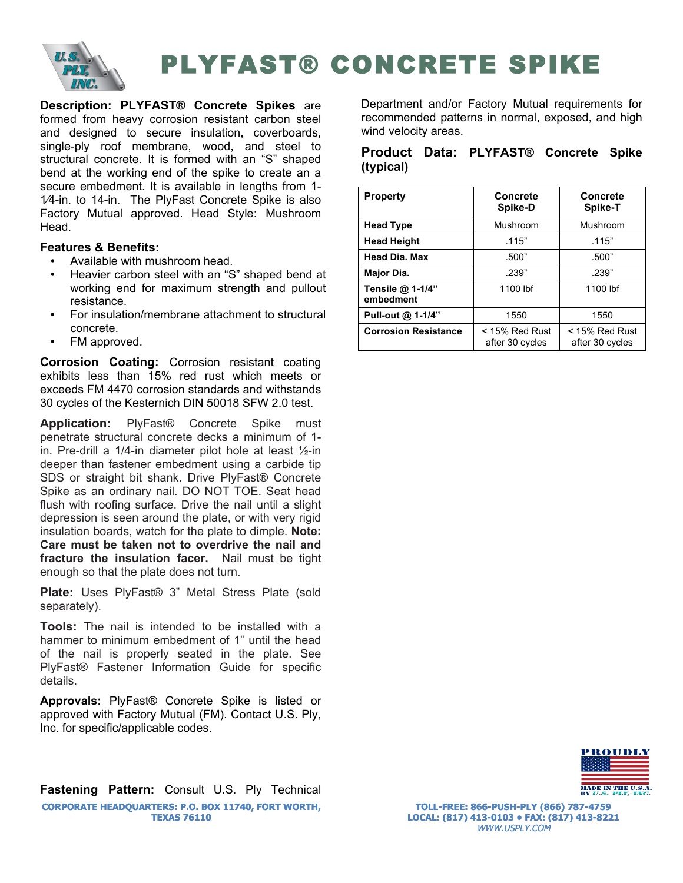

## PLYFAST® CONCRETE SPIKE

**Description: PLYFAST® Concrete Spikes** are formed from heavy corrosion resistant carbon steel and designed to secure insulation, coverboards, single-ply roof membrane, wood, and steel to structural concrete. It is formed with an "S" shaped bend at the working end of the spike to create an a secure embedment. It is available in lengths from 1- 1⁄4-in. to 14-in. The PlyFast Concrete Spike is also Factory Mutual approved. Head Style: Mushroom Head.

## **Features & Benefits:**

- Available with mushroom head.
- Heavier carbon steel with an "S" shaped bend at working end for maximum strength and pullout resistance.
- For insulation/membrane attachment to structural concrete.
- FM approved.

**Corrosion Coating:** Corrosion resistant coating exhibits less than 15% red rust which meets or exceeds FM 4470 corrosion standards and withstands 30 cycles of the Kesternich DIN 50018 SFW 2.0 test.

**Application:** PlyFast® Concrete Spike must penetrate structural concrete decks a minimum of 1 in. Pre-drill a 1/4-in diameter pilot hole at least ½-in deeper than fastener embedment using a carbide tip SDS or straight bit shank. Drive PlyFast® Concrete Spike as an ordinary nail. DO NOT TOE. Seat head flush with roofing surface. Drive the nail until a slight depression is seen around the plate, or with very rigid insulation boards, watch for the plate to dimple. **Note: Care must be taken not to overdrive the nail and fracture the insulation facer.** Nail must be tight enough so that the plate does not turn.

**Plate:** Uses PlyFast® 3" Metal Stress Plate (sold separately).

**Tools:** The nail is intended to be installed with a hammer to minimum embedment of 1" until the head of the nail is properly seated in the plate. See PlyFast® Fastener Information Guide for specific details.

**Approvals:** PlyFast® Concrete Spike is listed or approved with Factory Mutual (FM). Contact U.S. Ply, Inc. for specific/applicable codes.

**Fastening Pattern:** Consult U.S. Ply Technical **CORPORATE HEADQUARTERS: P.O. BOX 11740, FORT WORTH, TEXAS 76110**

Department and/or Factory Mutual requirements for recommended patterns in normal, exposed, and high wind velocity areas.

## **Product Data: PLYFAST® Concrete Spike (typical)**

| <b>Property</b>               | <b>Concrete</b><br>Spike-D          | <b>Concrete</b><br>Spike-T          |
|-------------------------------|-------------------------------------|-------------------------------------|
| <b>Head Type</b>              | Mushroom                            | Mushroom                            |
| <b>Head Height</b>            | .115"                               | .115"                               |
| <b>Head Dia, Max</b>          | .500"                               | .500"                               |
| Major Dia.                    | .239"                               | .239"                               |
| Tensile @ 1-1/4"<br>embedment | 1100 lbf                            | 1100 lbf                            |
| Pull-out @ 1-1/4"             | 1550<br>1550                        |                                     |
| <b>Corrosion Resistance</b>   | $<$ 15% Red Rust<br>after 30 cycles | $<$ 15% Red Rust<br>after 30 cycles |



**TOLL-FREE: 866-PUSH-PLY (866) 787-4759 LOCAL: (817) 413-0103 • FAX: (817) 413-8221** WWW.USPLY.COM